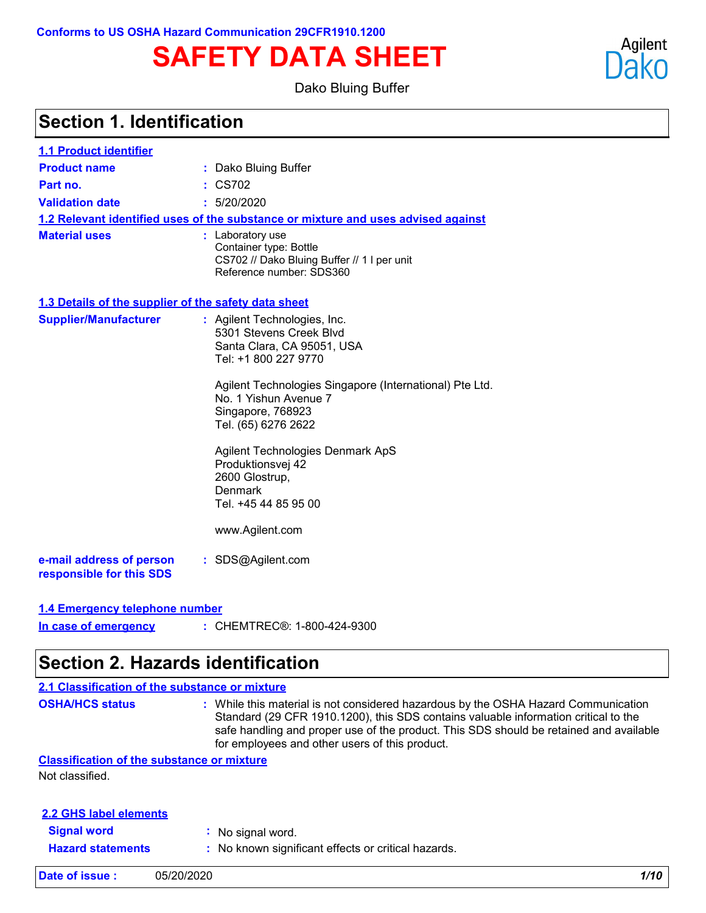**Conforms to US OSHA Hazard Communication 29CFR1910.1200**

# **SAFETY DATA SHEET**

Dako Bluing Buffer

### **Section 1. Identification**

| 1.1 Product identifier                               |                                                                                                                                                                                                                                                                                                                                                                                       |  |  |  |
|------------------------------------------------------|---------------------------------------------------------------------------------------------------------------------------------------------------------------------------------------------------------------------------------------------------------------------------------------------------------------------------------------------------------------------------------------|--|--|--|
| <b>Product name</b>                                  | Dako Bluing Buffer                                                                                                                                                                                                                                                                                                                                                                    |  |  |  |
| Part no.                                             | : CS702                                                                                                                                                                                                                                                                                                                                                                               |  |  |  |
| <b>Validation date</b>                               | : 5/20/2020                                                                                                                                                                                                                                                                                                                                                                           |  |  |  |
|                                                      | 1.2 Relevant identified uses of the substance or mixture and uses advised against                                                                                                                                                                                                                                                                                                     |  |  |  |
| <b>Material uses</b>                                 | : Laboratory use<br>Container type: Bottle<br>CS702 // Dako Bluing Buffer // 1 I per unit<br>Reference number: SDS360                                                                                                                                                                                                                                                                 |  |  |  |
| 1.3 Details of the supplier of the safety data sheet |                                                                                                                                                                                                                                                                                                                                                                                       |  |  |  |
| <b>Supplier/Manufacturer</b>                         | : Agilent Technologies, Inc.<br>5301 Stevens Creek Blvd<br>Santa Clara, CA 95051, USA<br>Tel: +1 800 227 9770<br>Agilent Technologies Singapore (International) Pte Ltd.<br>No. 1 Yishun Avenue 7<br>Singapore, 768923<br>Tel. (65) 6276 2622<br><b>Agilent Technologies Denmark ApS</b><br>Produktionsvej 42<br>2600 Glostrup,<br>Denmark<br>Tel. +45 44 85 95 00<br>www.Agilent.com |  |  |  |
| e-mail address of person<br>responsible for this SDS | : SDS@Agilent.com                                                                                                                                                                                                                                                                                                                                                                     |  |  |  |
| 1.4 Emergency telephone number                       |                                                                                                                                                                                                                                                                                                                                                                                       |  |  |  |
|                                                      |                                                                                                                                                                                                                                                                                                                                                                                       |  |  |  |

#### CHEMTREC®: 1-800-424-9300 **: In case of emergency**

### **Section 2. Hazards identification**

#### **2.1 Classification of the substance or mixture**

**OSHA/HCS status :** While this material is not considered hazardous by the OSHA Hazard Communication Standard (29 CFR 1910.1200), this SDS contains valuable information critical to the safe handling and proper use of the product. This SDS should be retained and available for employees and other users of this product.

#### **Classification of the substance or mixture**

Not classified.

| 2.2 GHS label elements   |                                                     |
|--------------------------|-----------------------------------------------------|
| <b>Signal word</b>       | : No signal word.                                   |
| <b>Hazard statements</b> | : No known significant effects or critical hazards. |

**Date of issue :** 05/20/2020 *1/10*

Agilent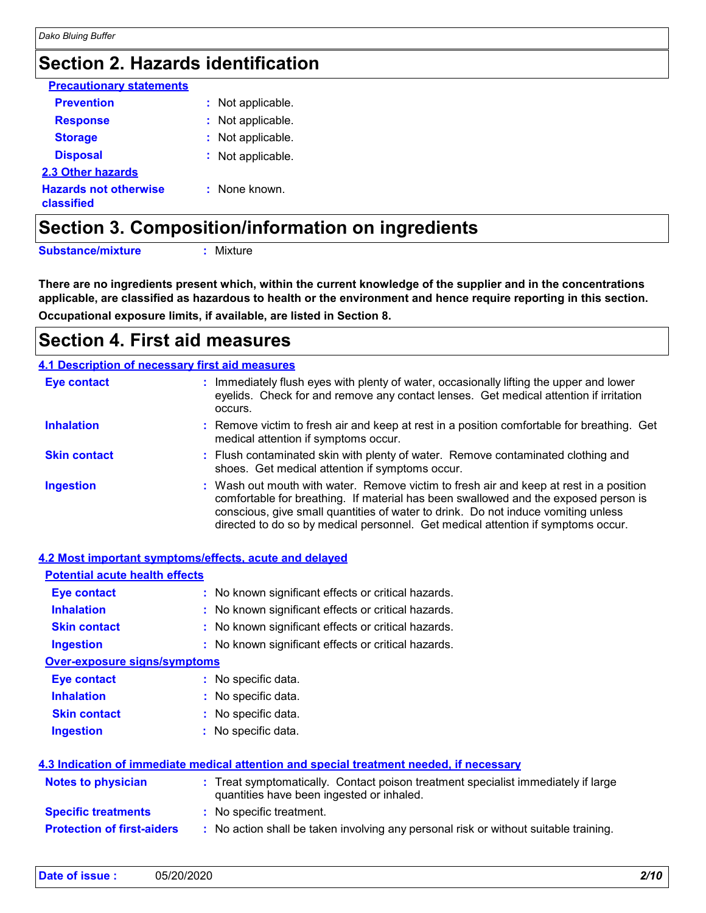### **Section 2. Hazards identification**

| <b>Precautionary statements</b>            |                   |
|--------------------------------------------|-------------------|
| <b>Prevention</b>                          | : Not applicable. |
| <b>Response</b>                            | : Not applicable. |
| <b>Storage</b>                             | : Not applicable. |
| <b>Disposal</b>                            | : Not applicable. |
| 2.3 Other hazards                          |                   |
| <b>Hazards not otherwise</b><br>classified | : None known.     |

**Section 3. Composition/information on ingredients**

**Substance/mixture :**

: Mixture

**Occupational exposure limits, if available, are listed in Section 8. There are no ingredients present which, within the current knowledge of the supplier and in the concentrations applicable, are classified as hazardous to health or the environment and hence require reporting in this section.**

### **Section 4. First aid measures**

| 4.1 Description of necessary first aid measures |                                                                                                                                                                                                                                                                                                                                                        |  |  |
|-------------------------------------------------|--------------------------------------------------------------------------------------------------------------------------------------------------------------------------------------------------------------------------------------------------------------------------------------------------------------------------------------------------------|--|--|
| <b>Eye contact</b>                              | : Immediately flush eyes with plenty of water, occasionally lifting the upper and lower<br>eyelids. Check for and remove any contact lenses. Get medical attention if irritation<br>occurs.                                                                                                                                                            |  |  |
| <b>Inhalation</b>                               | : Remove victim to fresh air and keep at rest in a position comfortable for breathing. Get<br>medical attention if symptoms occur.                                                                                                                                                                                                                     |  |  |
| <b>Skin contact</b>                             | : Flush contaminated skin with plenty of water. Remove contaminated clothing and<br>shoes. Get medical attention if symptoms occur.                                                                                                                                                                                                                    |  |  |
| <b>Ingestion</b>                                | : Wash out mouth with water. Remove victim to fresh air and keep at rest in a position<br>comfortable for breathing. If material has been swallowed and the exposed person is<br>conscious, give small quantities of water to drink. Do not induce vomiting unless<br>directed to do so by medical personnel. Get medical attention if symptoms occur. |  |  |

|                                       | 4.2 Most important symptoms/effects, acute and delayed                                                                         |
|---------------------------------------|--------------------------------------------------------------------------------------------------------------------------------|
| <b>Potential acute health effects</b> |                                                                                                                                |
| Eye contact                           | : No known significant effects or critical hazards.                                                                            |
| <b>Inhalation</b>                     | : No known significant effects or critical hazards.                                                                            |
| <b>Skin contact</b>                   | : No known significant effects or critical hazards.                                                                            |
| <b>Ingestion</b>                      | : No known significant effects or critical hazards.                                                                            |
| <b>Over-exposure signs/symptoms</b>   |                                                                                                                                |
| Eye contact                           | : No specific data.                                                                                                            |
| <b>Inhalation</b>                     | : No specific data.                                                                                                            |
| <b>Skin contact</b>                   | : No specific data.                                                                                                            |
| <b>Ingestion</b>                      | : No specific data.                                                                                                            |
|                                       |                                                                                                                                |
|                                       | 4.3 Indication of immediate medical attention and special treatment needed, if necessary                                       |
| Notes to physician                    | : Treat symptomatically. Contact poison treatment specialist immediately if large<br>quantities have been ingested or inhaled. |
| <b>Specific treatments</b>            | : No specific treatment.                                                                                                       |
| <b>Protection of first-aiders</b>     | : No action shall be taken involving any personal risk or without suitable training.                                           |

| 05/20/2020 | 2/10 |
|------------|------|
|            |      |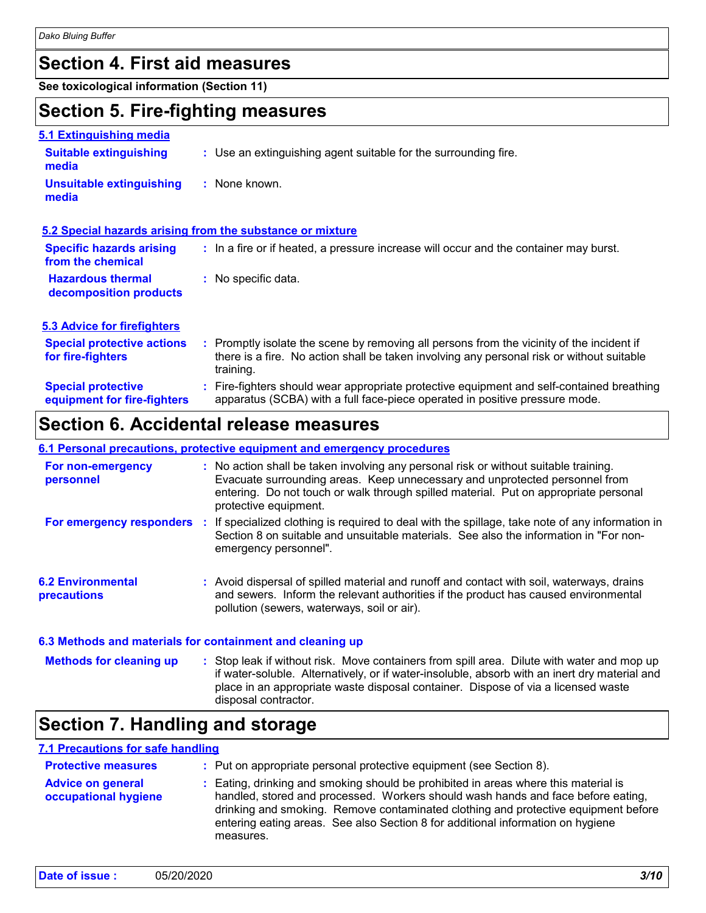### **Section 4. First aid measures**

**See toxicological information (Section 11)**

### **Section 5. Fire-fighting measures**

| 5.1 Extinguishing media                                  |                                                                                                                                                                                                     |
|----------------------------------------------------------|-----------------------------------------------------------------------------------------------------------------------------------------------------------------------------------------------------|
| <b>Suitable extinguishing</b><br>media                   | : Use an extinguishing agent suitable for the surrounding fire.                                                                                                                                     |
| <b>Unsuitable extinguishing</b><br>media                 | : None known.                                                                                                                                                                                       |
|                                                          | 5.2 Special hazards arising from the substance or mixture                                                                                                                                           |
| <b>Specific hazards arising</b><br>from the chemical     | : In a fire or if heated, a pressure increase will occur and the container may burst.                                                                                                               |
| <b>Hazardous thermal</b><br>decomposition products       | : No specific data.                                                                                                                                                                                 |
| <b>5.3 Advice for firefighters</b>                       |                                                                                                                                                                                                     |
| <b>Special protective actions</b><br>for fire-fighters   | : Promptly isolate the scene by removing all persons from the vicinity of the incident if<br>there is a fire. No action shall be taken involving any personal risk or without suitable<br>training. |
| <b>Special protective</b><br>equipment for fire-fighters | : Fire-fighters should wear appropriate protective equipment and self-contained breathing<br>apparatus (SCBA) with a full face-piece operated in positive pressure mode.                            |

### **Section 6. Accidental release measures**

#### **6.1 Personal precautions, protective equipment and emergency procedures**

| For non-emergency<br>personnel                            |    | : No action shall be taken involving any personal risk or without suitable training.<br>Evacuate surrounding areas. Keep unnecessary and unprotected personnel from<br>entering. Do not touch or walk through spilled material. Put on appropriate personal<br>protective equipment. |
|-----------------------------------------------------------|----|--------------------------------------------------------------------------------------------------------------------------------------------------------------------------------------------------------------------------------------------------------------------------------------|
| For emergency responders                                  | п. | If specialized clothing is required to deal with the spillage, take note of any information in<br>Section 8 on suitable and unsuitable materials. See also the information in "For non-<br>emergency personnel".                                                                     |
| <b>6.2 Environmental</b><br>precautions                   |    | : Avoid dispersal of spilled material and runoff and contact with soil, waterways, drains<br>and sewers. Inform the relevant authorities if the product has caused environmental<br>pollution (sewers, waterways, soil or air).                                                      |
| 6.3 Methods and materials for containment and cleaning up |    |                                                                                                                                                                                                                                                                                      |

Stop leak if without risk. Move containers from spill area. Dilute with water and mop up if water-soluble. Alternatively, or if water-insoluble, absorb with an inert dry material and place in an appropriate waste disposal container. Dispose of via a licensed waste disposal contractor. **Methods for cleaning up :**

### **Section 7. Handling and storage**

#### **7.1 Precautions for safe handling**

| <b>Protective measures</b>                       | : Put on appropriate personal protective equipment (see Section 8).                                                                                                                                                                                                                                                                                           |
|--------------------------------------------------|---------------------------------------------------------------------------------------------------------------------------------------------------------------------------------------------------------------------------------------------------------------------------------------------------------------------------------------------------------------|
| <b>Advice on general</b><br>occupational hygiene | : Eating, drinking and smoking should be prohibited in areas where this material is<br>handled, stored and processed. Workers should wash hands and face before eating,<br>drinking and smoking. Remove contaminated clothing and protective equipment before<br>entering eating areas. See also Section 8 for additional information on hygiene<br>measures. |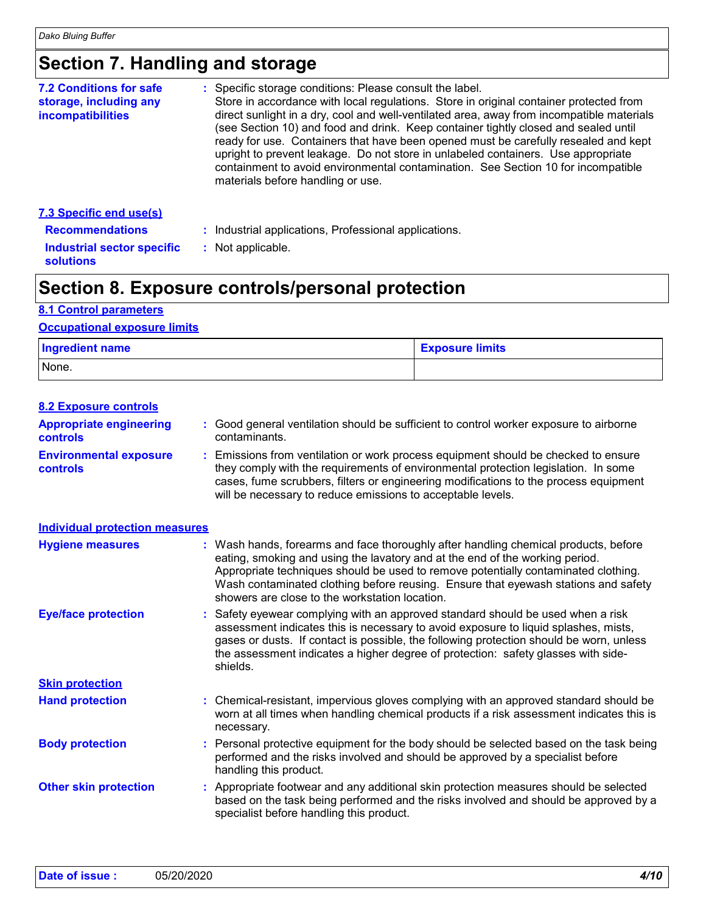### **Section 7. Handling and storage**

| <b>7.2 Conditions for safe</b><br>storage, including any<br><i>incompatibilities</i> | : Specific storage conditions: Please consult the label.<br>Store in accordance with local regulations. Store in original container protected from<br>direct sunlight in a dry, cool and well-ventilated area, away from incompatible materials<br>(see Section 10) and food and drink. Keep container tightly closed and sealed until<br>ready for use. Containers that have been opened must be carefully resealed and kept<br>upright to prevent leakage. Do not store in unlabeled containers. Use appropriate<br>containment to avoid environmental contamination. See Section 10 for incompatible<br>materials before handling or use. |
|--------------------------------------------------------------------------------------|----------------------------------------------------------------------------------------------------------------------------------------------------------------------------------------------------------------------------------------------------------------------------------------------------------------------------------------------------------------------------------------------------------------------------------------------------------------------------------------------------------------------------------------------------------------------------------------------------------------------------------------------|
| <b>7.3 Specific end use(s)</b><br><b>Recommendations</b>                             | : Industrial applications, Professional applications.                                                                                                                                                                                                                                                                                                                                                                                                                                                                                                                                                                                        |
|                                                                                      |                                                                                                                                                                                                                                                                                                                                                                                                                                                                                                                                                                                                                                              |

**Industrial sector specific :** : Not applicable.

### **Section 8. Exposure controls/personal protection**

#### **8.1 Control parameters**

**solutions**

#### **Occupational exposure limits**

| <b>Ingredient name</b> | <b>Exposure limits</b> |  |
|------------------------|------------------------|--|
| None.                  |                        |  |

| <b>8.2 Exposure controls</b>               |                                                                                                                                                                                                                                                                                                                                                                                                   |
|--------------------------------------------|---------------------------------------------------------------------------------------------------------------------------------------------------------------------------------------------------------------------------------------------------------------------------------------------------------------------------------------------------------------------------------------------------|
| <b>Appropriate engineering</b><br>controls | : Good general ventilation should be sufficient to control worker exposure to airborne<br>contaminants.                                                                                                                                                                                                                                                                                           |
| <b>Environmental exposure</b><br>controls  | : Emissions from ventilation or work process equipment should be checked to ensure<br>they comply with the requirements of environmental protection legislation. In some<br>cases, fume scrubbers, filters or engineering modifications to the process equipment<br>will be necessary to reduce emissions to acceptable levels.                                                                   |
| <b>Individual protection measures</b>      |                                                                                                                                                                                                                                                                                                                                                                                                   |
| <b>Hygiene measures</b>                    | : Wash hands, forearms and face thoroughly after handling chemical products, before<br>eating, smoking and using the lavatory and at the end of the working period.<br>Appropriate techniques should be used to remove potentially contaminated clothing.<br>Wash contaminated clothing before reusing. Ensure that eyewash stations and safety<br>showers are close to the workstation location. |
| <b>Eye/face protection</b>                 | : Safety eyewear complying with an approved standard should be used when a risk<br>assessment indicates this is necessary to avoid exposure to liquid splashes, mists,<br>gases or dusts. If contact is possible, the following protection should be worn, unless<br>the assessment indicates a higher degree of protection: safety glasses with side-<br>shields.                                |
| <b>Skin protection</b>                     |                                                                                                                                                                                                                                                                                                                                                                                                   |
| <b>Hand protection</b>                     | : Chemical-resistant, impervious gloves complying with an approved standard should be<br>worn at all times when handling chemical products if a risk assessment indicates this is<br>necessary.                                                                                                                                                                                                   |
| <b>Body protection</b>                     | : Personal protective equipment for the body should be selected based on the task being<br>performed and the risks involved and should be approved by a specialist before<br>handling this product.                                                                                                                                                                                               |
| <b>Other skin protection</b>               | : Appropriate footwear and any additional skin protection measures should be selected<br>based on the task being performed and the risks involved and should be approved by a<br>specialist before handling this product.                                                                                                                                                                         |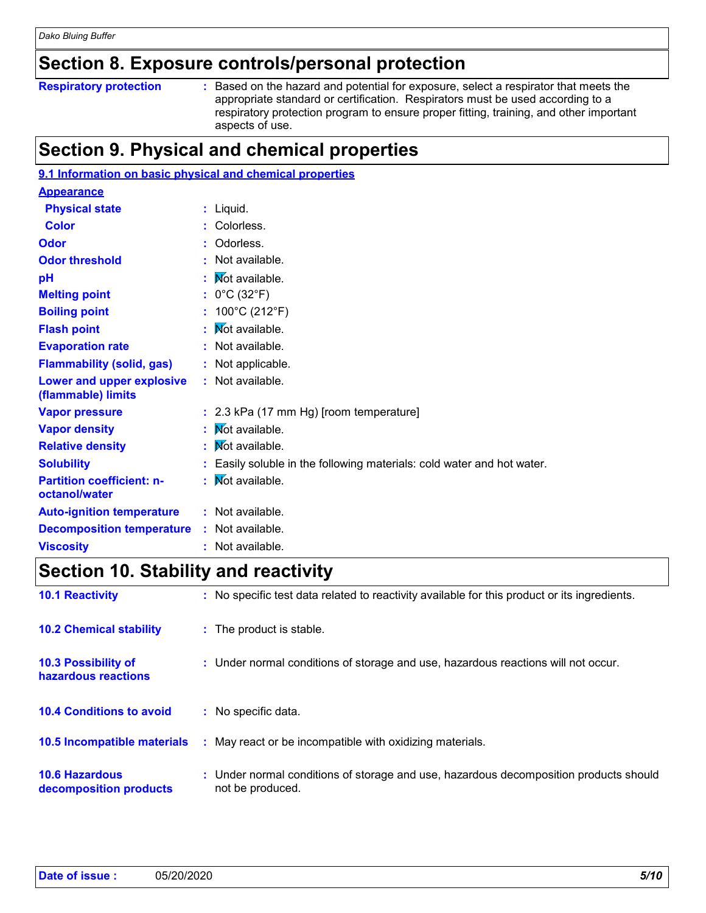### **Section 8. Exposure controls/personal protection**

#### **Respiratory protection :**

Based on the hazard and potential for exposure, select a respirator that meets the appropriate standard or certification. Respirators must be used according to a respiratory protection program to ensure proper fitting, training, and other important aspects of use.

### **Section 9. Physical and chemical properties**

| 9.1 Information on basic physical and chemical properties |    |                                                                      |
|-----------------------------------------------------------|----|----------------------------------------------------------------------|
| <b>Appearance</b>                                         |    |                                                                      |
| <b>Physical state</b>                                     |    | : Liquid.                                                            |
| <b>Color</b>                                              |    | : Colorless.                                                         |
| Odor                                                      |    | Odorless.                                                            |
| <b>Odor threshold</b>                                     |    | : Not available.                                                     |
| pH                                                        |    | Mot available.                                                       |
| <b>Melting point</b>                                      |    | : $0^{\circ}$ C (32 $^{\circ}$ F)                                    |
| <b>Boiling point</b>                                      |    | : $100^{\circ}$ C (212 $^{\circ}$ F)                                 |
| <b>Flash point</b>                                        | ÷. | Mot available.                                                       |
| <b>Evaporation rate</b>                                   |    | : Not available.                                                     |
| <b>Flammability (solid, gas)</b>                          |    | : Not applicable.                                                    |
| <b>Lower and upper explosive</b><br>(flammable) limits    |    | : Not available.                                                     |
| <b>Vapor pressure</b>                                     |    | : 2.3 kPa (17 mm Hg) [room temperature]                              |
| <b>Vapor density</b>                                      |    | : Mot available.                                                     |
| <b>Relative density</b>                                   |    | Mot available.                                                       |
| <b>Solubility</b>                                         |    | Easily soluble in the following materials: cold water and hot water. |
| <b>Partition coefficient: n-</b><br>octanol/water         | ÷. | Not available.                                                       |
| <b>Auto-ignition temperature</b>                          |    | : Not available.                                                     |
| <b>Decomposition temperature</b>                          |    | : Not available.                                                     |
| <b>Viscosity</b>                                          |    | Not available.                                                       |

### **Section 10. Stability and reactivity**

| <b>10.1 Reactivity</b>                            |    | : No specific test data related to reactivity available for this product or its ingredients.              |
|---------------------------------------------------|----|-----------------------------------------------------------------------------------------------------------|
| <b>10.2 Chemical stability</b>                    |    | : The product is stable.                                                                                  |
| <b>10.3 Possibility of</b><br>hazardous reactions |    | : Under normal conditions of storage and use, hazardous reactions will not occur.                         |
| <b>10.4 Conditions to avoid</b>                   |    | : No specific data.                                                                                       |
| <b>10.5 Incompatible materials</b>                | ÷. | May react or be incompatible with oxidizing materials.                                                    |
| <b>10.6 Hazardous</b><br>decomposition products   |    | : Under normal conditions of storage and use, hazardous decomposition products should<br>not be produced. |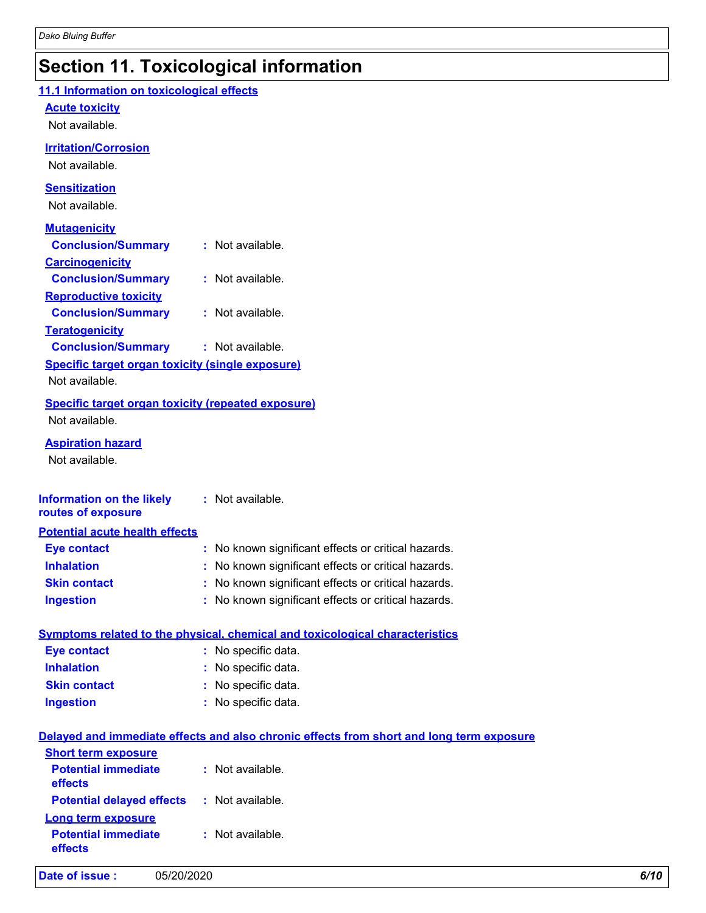## **Section 11. Toxicological information**

| 11.1 Information on toxicological effects                 |                                                                                          |
|-----------------------------------------------------------|------------------------------------------------------------------------------------------|
| <b>Acute toxicity</b>                                     |                                                                                          |
| Not available.                                            |                                                                                          |
| <b>Irritation/Corrosion</b>                               |                                                                                          |
| Not available.                                            |                                                                                          |
| <b>Sensitization</b>                                      |                                                                                          |
| Not available.                                            |                                                                                          |
| <b>Mutagenicity</b>                                       |                                                                                          |
| <b>Conclusion/Summary</b>                                 | : Not available.                                                                         |
| <b>Carcinogenicity</b>                                    |                                                                                          |
| <b>Conclusion/Summary</b>                                 | : Not available.                                                                         |
| <b>Reproductive toxicity</b>                              |                                                                                          |
| <b>Conclusion/Summary</b>                                 | : Not available.                                                                         |
| <b>Teratogenicity</b>                                     |                                                                                          |
| <b>Conclusion/Summary</b>                                 | : Not available.                                                                         |
| Specific target organ toxicity (single exposure)          |                                                                                          |
| Not available.                                            |                                                                                          |
| <b>Specific target organ toxicity (repeated exposure)</b> |                                                                                          |
| Not available.                                            |                                                                                          |
| <b>Aspiration hazard</b>                                  |                                                                                          |
| Not available.                                            |                                                                                          |
|                                                           |                                                                                          |
| <b>Information on the likely</b>                          | : Not available.                                                                         |
| routes of exposure                                        |                                                                                          |
| <b>Potential acute health effects</b>                     |                                                                                          |
| <b>Eye contact</b>                                        | : No known significant effects or critical hazards.                                      |
| <b>Inhalation</b>                                         | : No known significant effects or critical hazards.                                      |
| <b>Skin contact</b>                                       | : No known significant effects or critical hazards.                                      |
| <b>Ingestion</b>                                          | : No known significant effects or critical hazards.                                      |
|                                                           |                                                                                          |
| <b>Eye contact</b>                                        | Symptoms related to the physical, chemical and toxicological characteristics             |
| <b>Inhalation</b>                                         | : No specific data.<br>No specific data.                                                 |
| <b>Skin contact</b>                                       | : No specific data.                                                                      |
| <b>Ingestion</b>                                          | : No specific data.                                                                      |
|                                                           |                                                                                          |
|                                                           | Delayed and immediate effects and also chronic effects from short and long term exposure |
| <b>Short term exposure</b>                                |                                                                                          |
| <b>Potential immediate</b>                                | : Not available.                                                                         |
| effects                                                   |                                                                                          |
| <b>Potential delayed effects</b>                          | : Not available.                                                                         |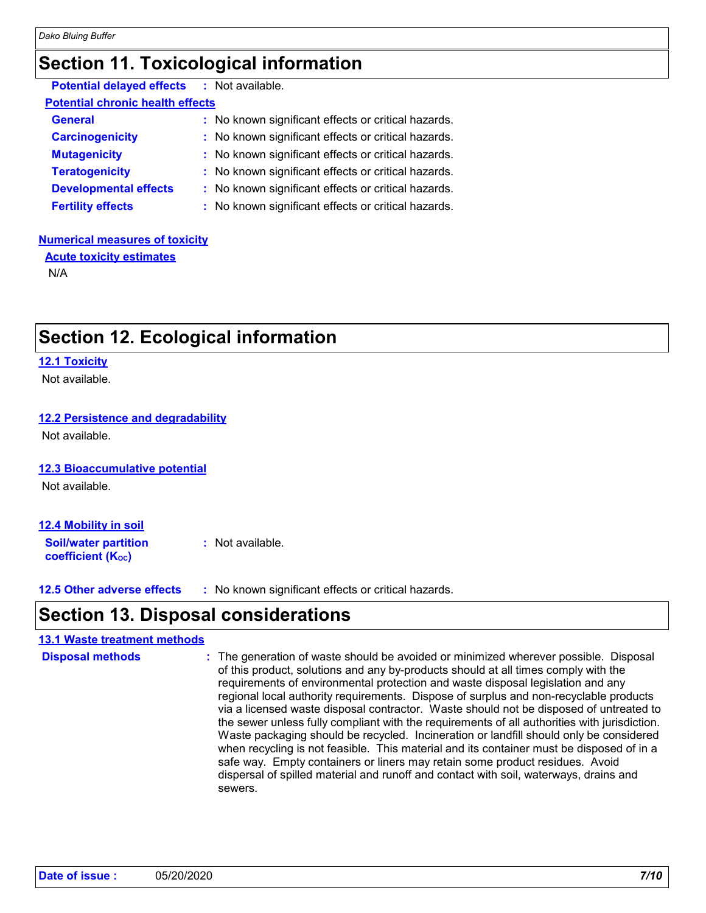### **Section 11. Toxicological information**

| <b>Potential delayed effects : Not available.</b> |                                                     |
|---------------------------------------------------|-----------------------------------------------------|
| <b>Potential chronic health effects</b>           |                                                     |
| <b>General</b>                                    | : No known significant effects or critical hazards. |
| <b>Carcinogenicity</b>                            | : No known significant effects or critical hazards. |
| <b>Mutagenicity</b>                               | : No known significant effects or critical hazards. |
| <b>Teratogenicity</b>                             | : No known significant effects or critical hazards. |
| <b>Developmental effects</b>                      | : No known significant effects or critical hazards. |
| <b>Fertility effects</b>                          | : No known significant effects or critical hazards. |

#### **Numerical measures of toxicity**

**Acute toxicity estimates** N/A

### **Section 12. Ecological information**

#### **12.1 Toxicity**

Not available.

#### **12.2 Persistence and degradability**

Not available.

#### **12.3 Bioaccumulative potential**

Not available.

| 12.4 Mobility in soil                                   |                  |
|---------------------------------------------------------|------------------|
| <b>Soil/water partition</b><br><b>coefficient (Koc)</b> | : Not available. |

**12.5 Other adverse effects :** No known significant effects or critical hazards.

### **Section 13. Disposal considerations**

#### **13.1 Waste treatment methods**

The generation of waste should be avoided or minimized wherever possible. Disposal of this product, solutions and any by-products should at all times comply with the requirements of environmental protection and waste disposal legislation and any regional local authority requirements. Dispose of surplus and non-recyclable products via a licensed waste disposal contractor. Waste should not be disposed of untreated to the sewer unless fully compliant with the requirements of all authorities with jurisdiction. Waste packaging should be recycled. Incineration or landfill should only be considered when recycling is not feasible. This material and its container must be disposed of in a safe way. Empty containers or liners may retain some product residues. Avoid dispersal of spilled material and runoff and contact with soil, waterways, drains and sewers. **Disposal methods :**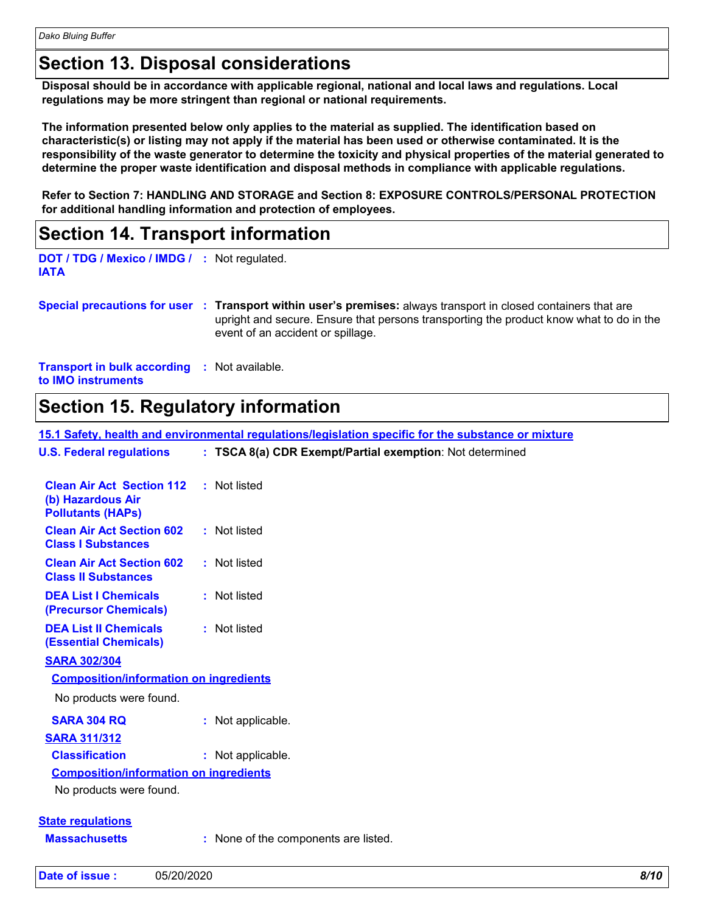### **Section 13. Disposal considerations**

**Disposal should be in accordance with applicable regional, national and local laws and regulations. Local regulations may be more stringent than regional or national requirements.**

**The information presented below only applies to the material as supplied. The identification based on characteristic(s) or listing may not apply if the material has been used or otherwise contaminated. It is the responsibility of the waste generator to determine the toxicity and physical properties of the material generated to determine the proper waste identification and disposal methods in compliance with applicable regulations.**

**Refer to Section 7: HANDLING AND STORAGE and Section 8: EXPOSURE CONTROLS/PERSONAL PROTECTION for additional handling information and protection of employees.**

### **Section 14. Transport information**

```
DOT / TDG / Mexico / IMDG /
: Not regulated.
IATA
```
**Special precautions for user Transport within user's premises:** always transport in closed containers that are **:** upright and secure. Ensure that persons transporting the product know what to do in the event of an accident or spillage.

**Transport in bulk according :** Not available. **to IMO instruments**

### **Section 15. Regulatory information**

**15.1 Safety, health and environmental regulations/legislation specific for the substance or mixture**

| <b>U.S. Federal regulations</b>                                                                | : TSCA 8(a) CDR Exempt/Partial exemption: Not determined |
|------------------------------------------------------------------------------------------------|----------------------------------------------------------|
| <b>Clean Air Act Section 112 : Not listed</b><br>(b) Hazardous Air<br><b>Pollutants (HAPs)</b> |                                                          |
| <b>Clean Air Act Section 602</b><br><b>Class I Substances</b>                                  | : Not listed                                             |
| <b>Clean Air Act Section 602</b><br><b>Class II Substances</b>                                 | : Not listed                                             |
| <b>DEA List I Chemicals</b><br>(Precursor Chemicals)                                           | : Not listed                                             |
| <b>DEA List II Chemicals</b><br><b>(Essential Chemicals)</b>                                   | : Not listed                                             |
| <b>SARA 302/304</b>                                                                            |                                                          |
| <b>Composition/information on ingredients</b>                                                  |                                                          |
| No products were found.                                                                        |                                                          |
| <b>SARA 304 RQ</b>                                                                             | : Not applicable.                                        |
| <b>SARA 311/312</b>                                                                            |                                                          |
| <b>Classification</b>                                                                          | : Not applicable.                                        |
| <b>Composition/information on ingredients</b>                                                  |                                                          |
| No products were found.                                                                        |                                                          |
|                                                                                                |                                                          |
| <b>State regulations</b>                                                                       |                                                          |
| <b>Massachusetts</b>                                                                           | : None of the components are listed.                     |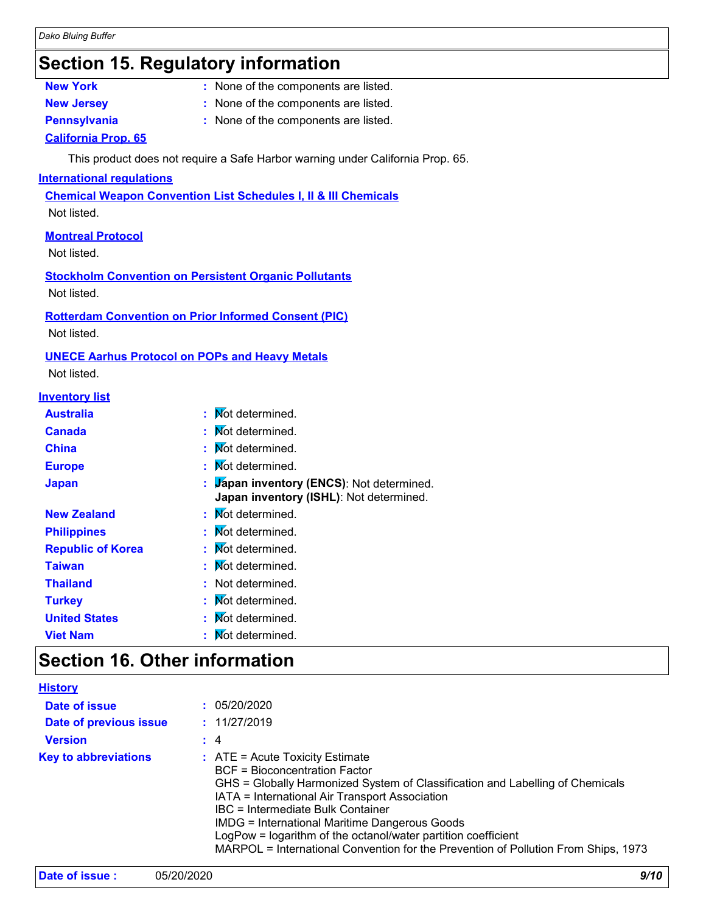### **Section 15. Regulatory information**

- 
- **New York :** None of the components are listed.
- 
- **New Jersey :** None of the components are listed.
- 
- **Pennsylvania :** None of the components are listed.

#### **California Prop. 65**

This product does not require a Safe Harbor warning under California Prop. 65.

#### **International regulations**

**Chemical Weapon Convention List Schedules I, II & III Chemicals**

Not listed.

#### **Montreal Protocol**

Not listed.

**Stockholm Convention on Persistent Organic Pollutants** Not listed.

#### **Rotterdam Convention on Prior Informed Consent (PIC)**

Not listed.

#### **UNECE Aarhus Protocol on POPs and Heavy Metals**

Not listed.

| <b>Inventory list</b>    |                                                                                      |
|--------------------------|--------------------------------------------------------------------------------------|
| <b>Australia</b>         | : Mot determined.                                                                    |
| <b>Canada</b>            | : Mot determined.                                                                    |
| <b>China</b>             | Not determined.                                                                      |
| <b>Europe</b>            | Not determined.                                                                      |
| <b>Japan</b>             | : Japan inventory (ENCS): Not determined.<br>Japan inventory (ISHL): Not determined. |
| <b>New Zealand</b>       | : Mot determined.                                                                    |
| <b>Philippines</b>       | : Mot determined.                                                                    |
| <b>Republic of Korea</b> | : Mot determined.                                                                    |
| Taiwan                   | : Mot determined.                                                                    |
| <b>Thailand</b>          | : Not determined.                                                                    |
| <b>Turkey</b>            | : Mot determined.                                                                    |
| <b>United States</b>     | : Mot determined.                                                                    |
| <b>Viet Nam</b>          | Not determined.                                                                      |

### **Section 16. Other information**

| <b>History</b>              |                                                                                                                                                                                                                                                                                                                                                                                                                                                                    |
|-----------------------------|--------------------------------------------------------------------------------------------------------------------------------------------------------------------------------------------------------------------------------------------------------------------------------------------------------------------------------------------------------------------------------------------------------------------------------------------------------------------|
| Date of issue               | : 05/20/2020                                                                                                                                                                                                                                                                                                                                                                                                                                                       |
| Date of previous issue      | : 11/27/2019                                                                                                                                                                                                                                                                                                                                                                                                                                                       |
| <b>Version</b>              | $\div$ 4                                                                                                                                                                                                                                                                                                                                                                                                                                                           |
| <b>Key to abbreviations</b> | $\therefore$ ATE = Acute Toxicity Estimate<br>BCF = Bioconcentration Factor<br>GHS = Globally Harmonized System of Classification and Labelling of Chemicals<br>IATA = International Air Transport Association<br>IBC = Intermediate Bulk Container<br><b>IMDG = International Maritime Dangerous Goods</b><br>LogPow = logarithm of the octanol/water partition coefficient<br>MARPOL = International Convention for the Prevention of Pollution From Ships, 1973 |